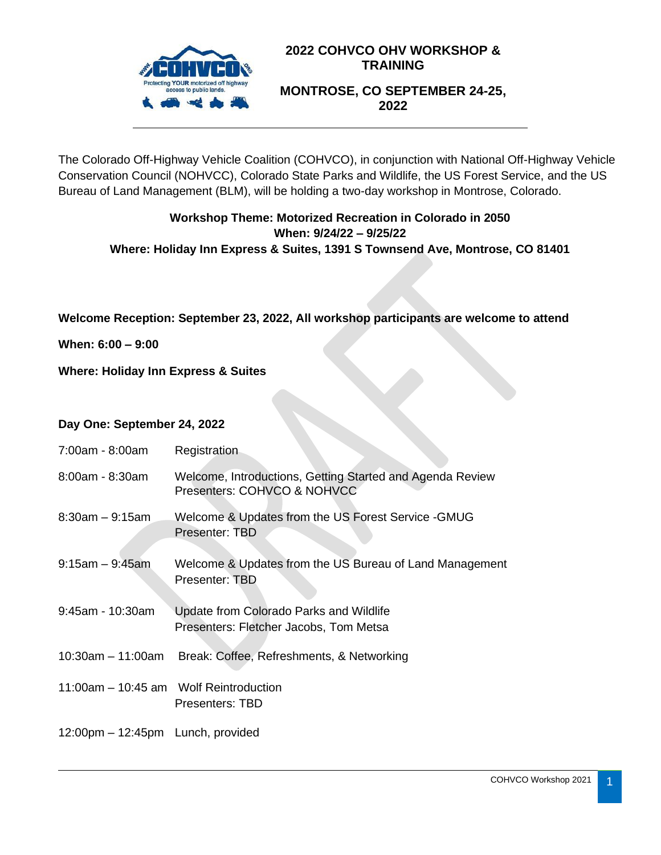

# **2022 COHVCO OHV WORKSHOP & TRAINING MONTROSE, CO SEPTEMBER 24-25, 2022**

The Colorado Off-Highway Vehicle Coalition (COHVCO), in conjunction with National Off-Highway Vehicle Conservation Council (NOHVCC), Colorado State Parks and Wildlife, the US Forest Service, and the US Bureau of Land Management (BLM), will be holding a two-day workshop in Montrose, Colorado.

## **Workshop Theme: Motorized Recreation in Colorado in 2050 When: 9/24/22 – 9/25/22 Where: Holiday Inn Express & Suites, 1391 S Townsend Ave, Montrose, CO 81401**

**Welcome Reception: September 23, 2022, All workshop participants are welcome to attend**

**When: 6:00 – 9:00**

**Where: Holiday Inn Express & Suites**

#### **Day One: September 24, 2022**

| 7:00am - 8:00am                                     | Registration                                                                             |
|-----------------------------------------------------|------------------------------------------------------------------------------------------|
| 8:00am - 8:30am                                     | Welcome, Introductions, Getting Started and Agenda Review<br>Presenters: COHVCO & NOHVCC |
| $8:30am - 9:15am$                                   | Welcome & Updates from the US Forest Service - GMUG<br>Presenter: TBD                    |
| $9:15am - 9:45am$                                   | Welcome & Updates from the US Bureau of Land Management<br>Presenter: TBD                |
| $9:45$ am - 10:30am                                 | Update from Colorado Parks and Wildlife<br>Presenters: Fletcher Jacobs, Tom Metsa        |
| $10:30$ am - 11:00am                                | Break: Coffee, Refreshments, & Networking                                                |
| 11:00am – 10:45 am Wolf Reintroduction              | Presenters: TBD                                                                          |
| $12:00 \text{pm} - 12:45 \text{pm}$ Lunch, provided |                                                                                          |